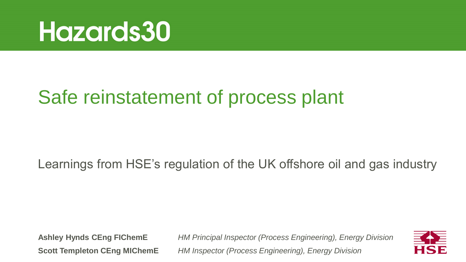

## Safe reinstatement of process plant

Learnings from HSE's regulation of the UK offshore oil and gas industry

**Ashley Hynds CEng FIChemE** *HM Principal Inspector (Process Engineering), Energy Division* **Scott Templeton CEng MIChemE** *HM Inspector (Process Engineering), Energy Division*

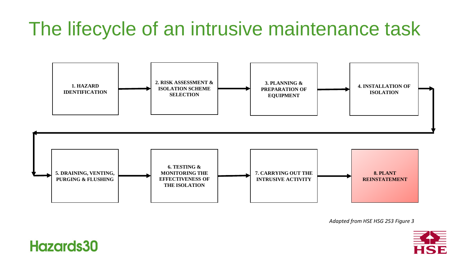# The lifecycle of an intrusive maintenance task





*Adapted from HSE HSG 253 Figure 3*



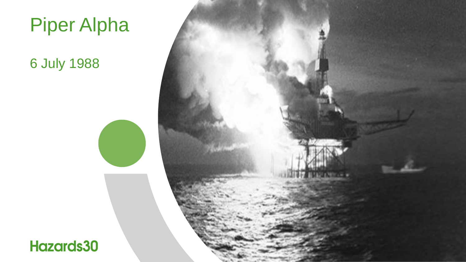

#### 6 July 1988



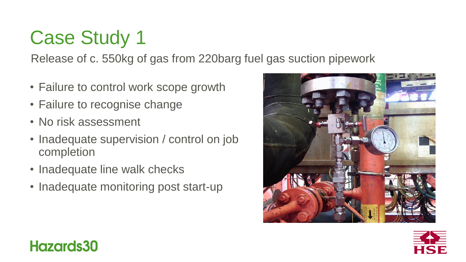# Case Study 1

Release of c. 550kg of gas from 220barg fuel gas suction pipework

- Failure to control work scope growth
- Failure to recognise change
- No risk assessment
- Inadequate supervision / control on job completion
- Inadequate line walk checks
- Inadequate monitoring post start-up





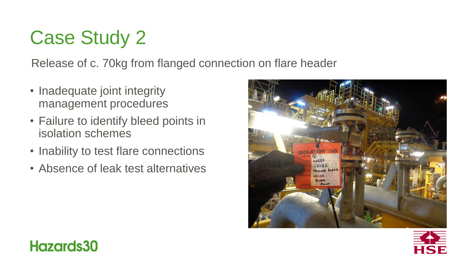# Case Study 2

Release of c. 70kg from flanged connection on flare header

- Inadequate joint integrity management procedures
- Failure to identify bleed points in isolation schemes
- Inability to test flare connections
- Absence of leak test alternatives





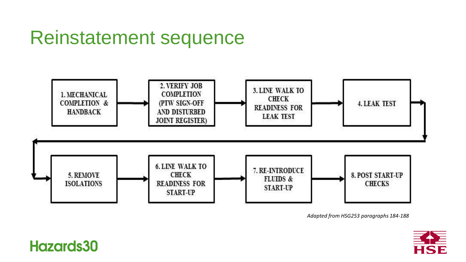## Reinstatement sequence



*Adapted from HSG253 paragraphs 184-188*

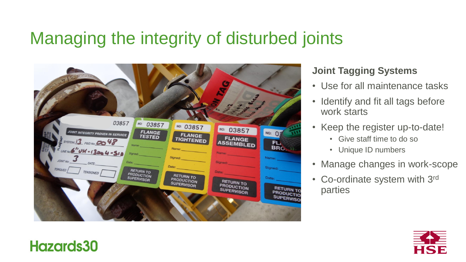#### Managing the integrity of disturbed joints



#### **Joint Tagging Systems**

- Use for all maintenance tasks
- Identify and fit all tags before work starts
- Keep the register up-to-date!
	- Give staff time to do so
	- Unique ID numbers
- Manage changes in work-scope
- Co-ordinate system with 3rd parties

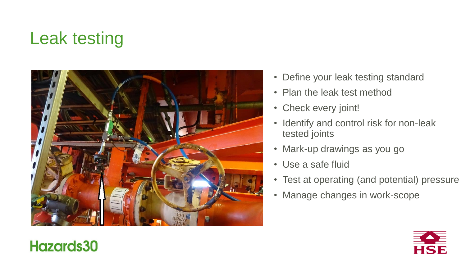## Leak testing



- Define your leak testing standard
- Plan the leak test method
- Check every joint!
- Identify and control risk for non-leak tested joints
- Mark-up drawings as you go
- Use a safe fluid
- Test at operating (and potential) pressure
- Manage changes in work-scope

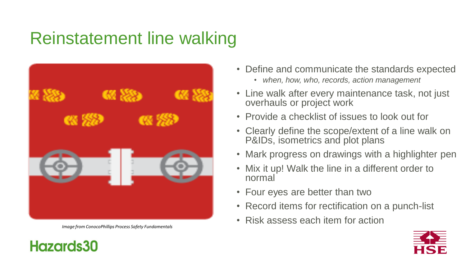## Reinstatement line walking



*Image from ConocoPhillips Process Safety Fundamentals*

- Define and communicate the standards expected
	- *when, how, who, records, action management*
- Line walk after every maintenance task, not just overhauls or project work
- Provide a checklist of issues to look out for
- Clearly define the scope/extent of a line walk on P&IDs, isometrics and plot plans
- Mark progress on drawings with a highlighter pen
- Mix it up! Walk the line in a different order to normal
- Four eyes are better than two
- Record items for rectification on a punch-list
- Risk assess each item for action